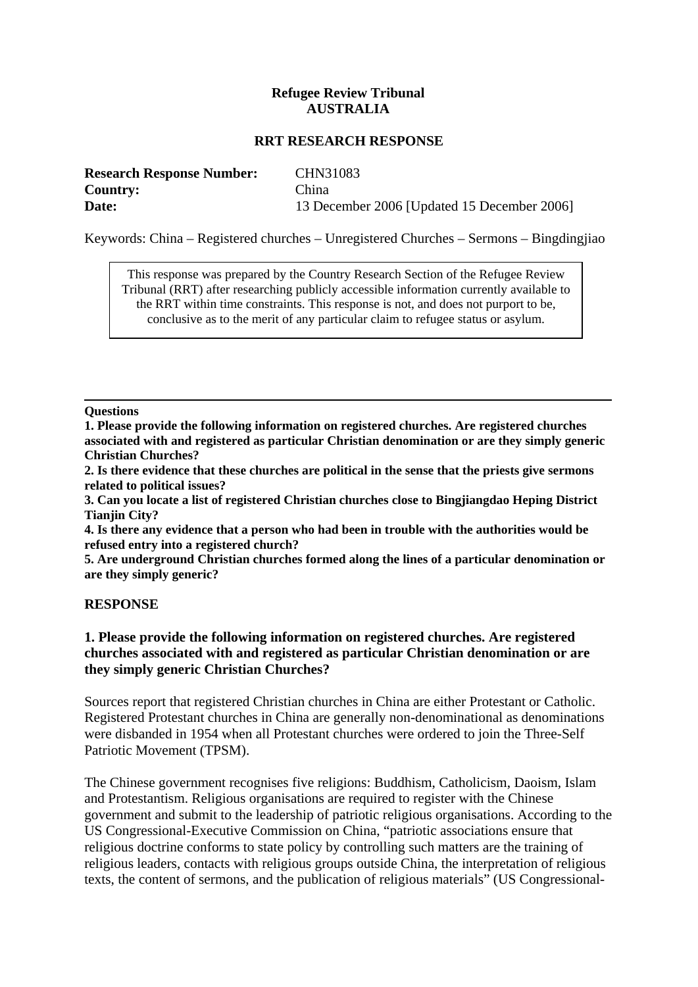# **Refugee Review Tribunal AUSTRALIA**

#### **RRT RESEARCH RESPONSE**

| <b>Research Response Number:</b> | CHN31083                                    |
|----------------------------------|---------------------------------------------|
| <b>Country:</b>                  | China                                       |
| Date:                            | 13 December 2006 [Updated 15 December 2006] |

Keywords: China – Registered churches – Unregistered Churches – Sermons – Bingdingjiao

This response was prepared by the Country Research Section of the Refugee Review Tribunal (RRT) after researching publicly accessible information currently available to the RRT within time constraints. This response is not, and does not purport to be, conclusive as to the merit of any particular claim to refugee status or asylum.

#### **Questions**

**1. Please provide the following information on registered churches. Are registered churches associated with and registered as particular Christian denomination or are they simply generic Christian Churches?** 

**2. Is there evidence that these churches are political in the sense that the priests give sermons related to political issues?** 

**3. Can you locate a list of registered Christian churches close to Bingjiangdao Heping District Tianjin City?** 

**4. Is there any evidence that a person who had been in trouble with the authorities would be refused entry into a registered church?** 

**5. Are underground Christian churches formed along the lines of a particular denomination or are they simply generic?** 

#### **RESPONSE**

#### **1. Please provide the following information on registered churches. Are registered churches associated with and registered as particular Christian denomination or are they simply generic Christian Churches?**

Sources report that registered Christian churches in China are either Protestant or Catholic. Registered Protestant churches in China are generally non-denominational as denominations were disbanded in 1954 when all Protestant churches were ordered to join the Three-Self Patriotic Movement (TPSM).

The Chinese government recognises five religions: Buddhism, Catholicism, Daoism, Islam and Protestantism. Religious organisations are required to register with the Chinese government and submit to the leadership of patriotic religious organisations. According to the US Congressional-Executive Commission on China, "patriotic associations ensure that religious doctrine conforms to state policy by controlling such matters are the training of religious leaders, contacts with religious groups outside China, the interpretation of religious texts, the content of sermons, and the publication of religious materials" (US Congressional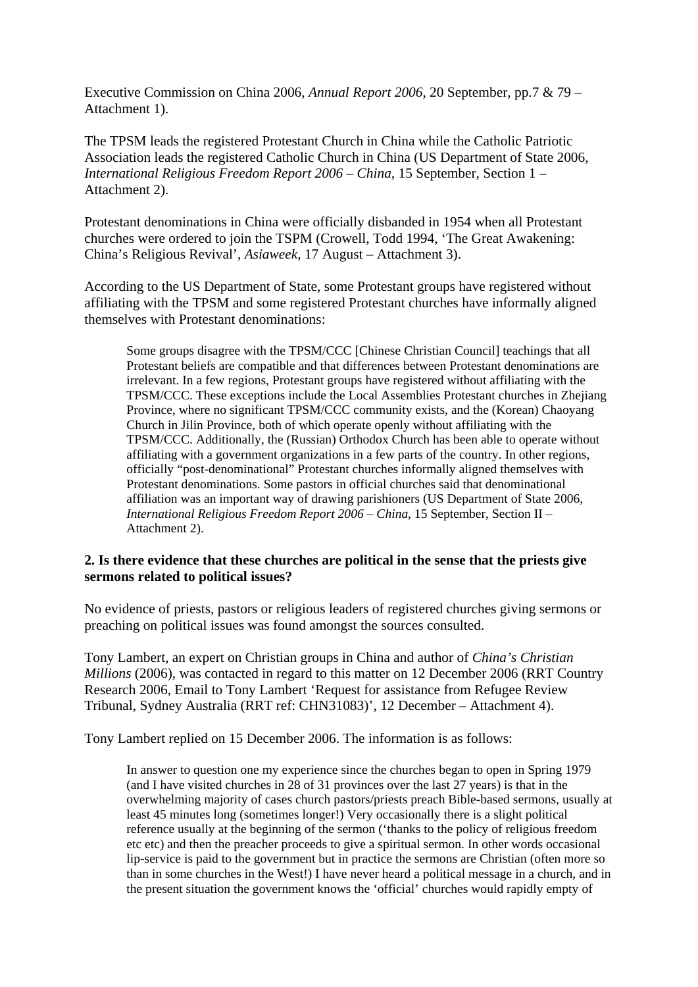Executive Commission on China 2006, *Annual Report 2006*, 20 September, pp.7 & 79 – Attachment 1).

The TPSM leads the registered Protestant Church in China while the Catholic Patriotic Association leads the registered Catholic Church in China (US Department of State 2006, *International Religious Freedom Report 2006 – China*, 15 September, Section 1 – Attachment 2).

Protestant denominations in China were officially disbanded in 1954 when all Protestant churches were ordered to join the TSPM (Crowell, Todd 1994, 'The Great Awakening: China's Religious Revival', *Asiaweek*, 17 August – Attachment 3).

According to the US Department of State, some Protestant groups have registered without affiliating with the TPSM and some registered Protestant churches have informally aligned themselves with Protestant denominations:

Some groups disagree with the TPSM/CCC [Chinese Christian Council] teachings that all Protestant beliefs are compatible and that differences between Protestant denominations are irrelevant. In a few regions, Protestant groups have registered without affiliating with the TPSM/CCC. These exceptions include the Local Assemblies Protestant churches in Zhejiang Province, where no significant TPSM/CCC community exists, and the (Korean) Chaoyang Church in Jilin Province, both of which operate openly without affiliating with the TPSM/CCC. Additionally, the (Russian) Orthodox Church has been able to operate without affiliating with a government organizations in a few parts of the country. In other regions, officially "post-denominational" Protestant churches informally aligned themselves with Protestant denominations. Some pastors in official churches said that denominational affiliation was an important way of drawing parishioners (US Department of State 2006, *International Religious Freedom Report 2006 – China*, 15 September, Section II – Attachment 2).

#### **2. Is there evidence that these churches are political in the sense that the priests give sermons related to political issues?**

No evidence of priests, pastors or religious leaders of registered churches giving sermons or preaching on political issues was found amongst the sources consulted.

Tony Lambert, an expert on Christian groups in China and author of *China's Christian Millions* (2006), was contacted in regard to this matter on 12 December 2006 (RRT Country Research 2006, Email to Tony Lambert 'Request for assistance from Refugee Review Tribunal, Sydney Australia (RRT ref: CHN31083)', 12 December – Attachment 4).

Tony Lambert replied on 15 December 2006. The information is as follows:

In answer to question one my experience since the churches began to open in Spring 1979 (and I have visited churches in 28 of 31 provinces over the last 27 years) is that in the overwhelming majority of cases church pastors/priests preach Bible-based sermons, usually at least 45 minutes long (sometimes longer!) Very occasionally there is a slight political reference usually at the beginning of the sermon ('thanks to the policy of religious freedom etc etc) and then the preacher proceeds to give a spiritual sermon. In other words occasional lip-service is paid to the government but in practice the sermons are Christian (often more so than in some churches in the West!) I have never heard a political message in a church, and in the present situation the government knows the 'official' churches would rapidly empty of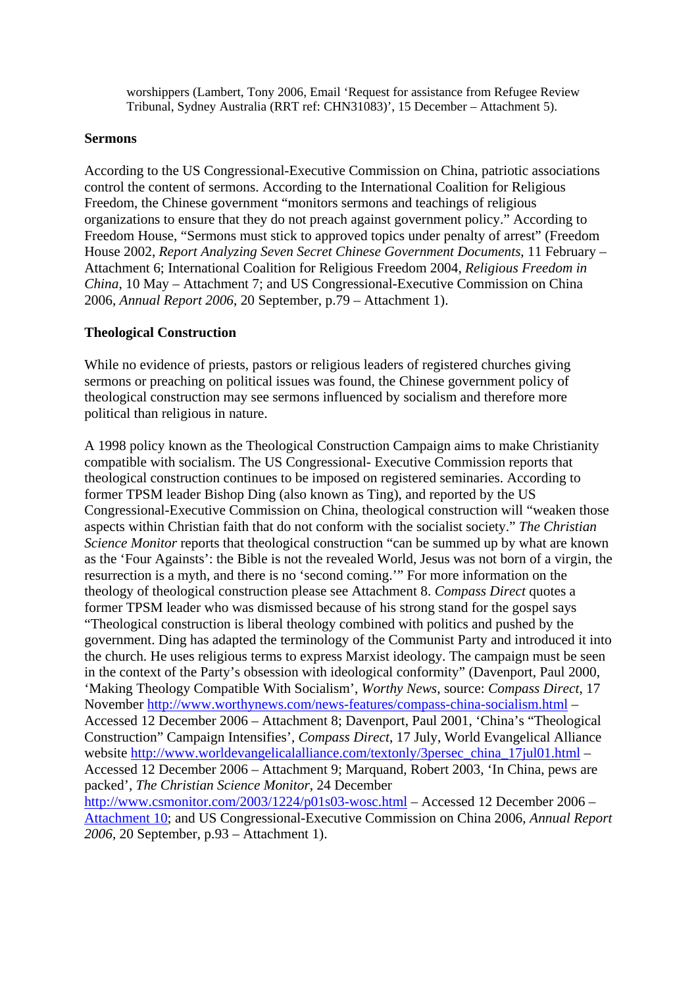worshippers (Lambert, Tony 2006, Email 'Request for assistance from Refugee Review Tribunal, Sydney Australia (RRT ref: CHN31083)', 15 December – Attachment 5).

#### **Sermons**

According to the US Congressional-Executive Commission on China, patriotic associations control the content of sermons. According to the International Coalition for Religious Freedom, the Chinese government "monitors sermons and teachings of religious organizations to ensure that they do not preach against government policy." According to Freedom House, "Sermons must stick to approved topics under penalty of arrest" (Freedom House 2002, *Report Analyzing Seven Secret Chinese Government Documents*, 11 February – Attachment 6; International Coalition for Religious Freedom 2004, *Religious Freedom in China*, 10 May – Attachment 7; and US Congressional-Executive Commission on China 2006, *Annual Report 2006*, 20 September, p.79 – Attachment 1).

## **Theological Construction**

While no evidence of priests, pastors or religious leaders of registered churches giving sermons or preaching on political issues was found, the Chinese government policy of theological construction may see sermons influenced by socialism and therefore more political than religious in nature.

A 1998 policy known as the Theological Construction Campaign aims to make Christianity compatible with socialism. The US Congressional- Executive Commission reports that theological construction continues to be imposed on registered seminaries. According to former TPSM leader Bishop Ding (also known as Ting), and reported by the US Congressional-Executive Commission on China, theological construction will "weaken those aspects within Christian faith that do not conform with the socialist society." *The Christian Science Monitor* reports that theological construction "can be summed up by what are known as the 'Four Againsts': the Bible is not the revealed World, Jesus was not born of a virgin, the resurrection is a myth, and there is no 'second coming.'" For more information on the theology of theological construction please see Attachment 8. *Compass Direct* quotes a former TPSM leader who was dismissed because of his strong stand for the gospel says "Theological construction is liberal theology combined with politics and pushed by the government. Ding has adapted the terminology of the Communist Party and introduced it into the church. He uses religious terms to express Marxist ideology. The campaign must be seen in the context of the Party's obsession with ideological conformity" (Davenport, Paul 2000, 'Making Theology Compatible With Socialism', *Worthy News*, source: *Compass Direct*, 17 November <http://www.worthynews.com/news-features/compass-china-socialism.html>– Accessed 12 December 2006 – Attachment 8; Davenport, Paul 2001, 'China's "Theological Construction" Campaign Intensifies', *Compass Direct*, 17 July, World Evangelical Alliance website [http://www.worldevangelicalalliance.com/textonly/3persec\\_china\\_17jul01.html](http://www.worldevangelicalalliance.com/textonly/3persec_china_17jul01.html) – Accessed 12 December 2006 – Attachment 9; Marquand, Robert 2003, 'In China, pews are packed', *The Christian Science Monitor*, 24 December <http://www.csmonitor.com/2003/1224/p01s03-wosc.html>– Accessed 12 December 2006 –

Attachment 10; and US Congressional-Executive Commission on China 2006, *Annual Report 2006*, 20 September, p.93 – Attachment 1).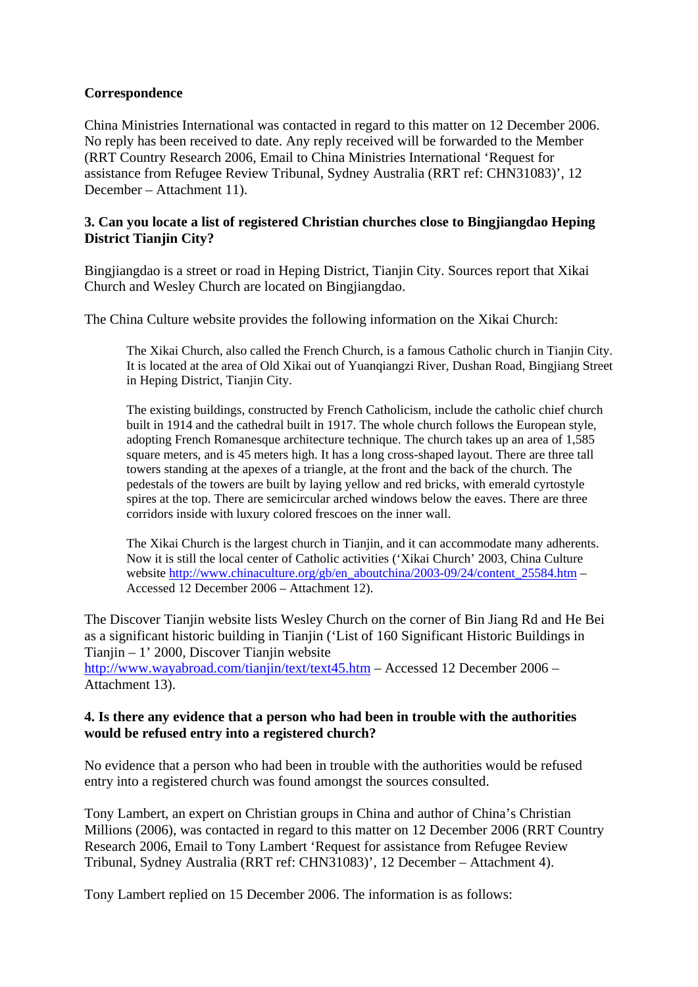## **Correspondence**

China Ministries International was contacted in regard to this matter on 12 December 2006. No reply has been received to date. Any reply received will be forwarded to the Member (RRT Country Research 2006, Email to China Ministries International 'Request for assistance from Refugee Review Tribunal, Sydney Australia (RRT ref: CHN31083)', 12 December – Attachment 11).

# **3. Can you locate a list of registered Christian churches close to Bingjiangdao Heping District Tianjin City?**

Bingjiangdao is a street or road in Heping District, Tianjin City. Sources report that Xikai Church and Wesley Church are located on Bingjiangdao.

The China Culture website provides the following information on the Xikai Church:

The Xikai Church, also called the French Church, is a famous Catholic church in Tianjin City. It is located at the area of Old Xikai out of Yuanqiangzi River, Dushan Road, Bingjiang Street in Heping District, Tianjin City.

The existing buildings, constructed by French Catholicism, include the catholic chief church built in 1914 and the cathedral built in 1917. The whole church follows the European style, adopting French Romanesque architecture technique. The church takes up an area of 1,585 square meters, and is 45 meters high. It has a long cross-shaped layout. There are three tall towers standing at the apexes of a triangle, at the front and the back of the church. The pedestals of the towers are built by laying yellow and red bricks, with emerald cyrtostyle spires at the top. There are semicircular arched windows below the eaves. There are three corridors inside with luxury colored frescoes on the inner wall.

The Xikai Church is the largest church in Tianjin, and it can accommodate many adherents. Now it is still the local center of Catholic activities ('Xikai Church' 2003, China Culture website [http://www.chinaculture.org/gb/en\\_aboutchina/2003-09/24/content\\_25584.htm](http://www.chinaculture.org/gb/en_aboutchina/2003-09/24/content_25584.htm) – Accessed 12 December 2006 – Attachment 12).

The Discover Tianjin website lists Wesley Church on the corner of Bin Jiang Rd and He Bei as a significant historic building in Tianjin ('List of 160 Significant Historic Buildings in Tianjin – 1' 2000, Discover Tianjin website

<http://www.wayabroad.com/tianjin/text/text45.htm> – Accessed 12 December 2006 – Attachment 13).

## **4. Is there any evidence that a person who had been in trouble with the authorities would be refused entry into a registered church?**

No evidence that a person who had been in trouble with the authorities would be refused entry into a registered church was found amongst the sources consulted.

Tony Lambert, an expert on Christian groups in China and author of China's Christian Millions (2006), was contacted in regard to this matter on 12 December 2006 (RRT Country Research 2006, Email to Tony Lambert 'Request for assistance from Refugee Review Tribunal, Sydney Australia (RRT ref: CHN31083)', 12 December – Attachment 4).

Tony Lambert replied on 15 December 2006. The information is as follows: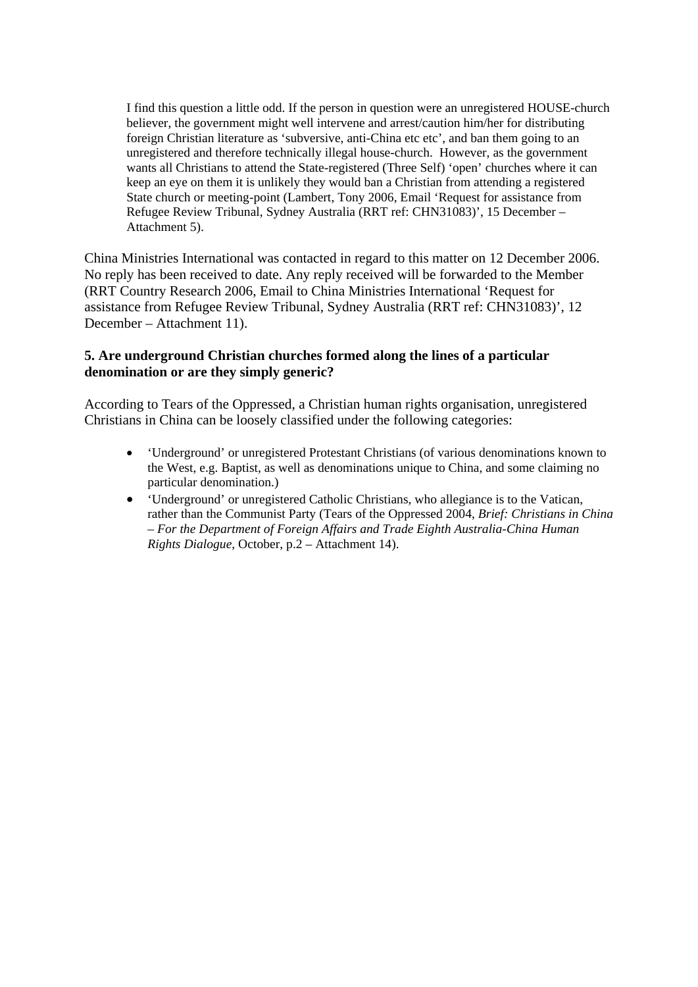I find this question a little odd. If the person in question were an unregistered HOUSE-church believer, the government might well intervene and arrest/caution him/her for distributing foreign Christian literature as 'subversive, anti-China etc etc', and ban them going to an unregistered and therefore technically illegal house-church. However, as the government wants all Christians to attend the State-registered (Three Self) 'open' churches where it can keep an eye on them it is unlikely they would ban a Christian from attending a registered State church or meeting-point (Lambert, Tony 2006, Email 'Request for assistance from Refugee Review Tribunal, Sydney Australia (RRT ref: CHN31083)', 15 December – Attachment 5).

China Ministries International was contacted in regard to this matter on 12 December 2006. No reply has been received to date. Any reply received will be forwarded to the Member (RRT Country Research 2006, Email to China Ministries International 'Request for assistance from Refugee Review Tribunal, Sydney Australia (RRT ref: CHN31083)', 12 December – Attachment 11).

## **5. Are underground Christian churches formed along the lines of a particular denomination or are they simply generic?**

According to Tears of the Oppressed, a Christian human rights organisation, unregistered Christians in China can be loosely classified under the following categories:

- 'Underground' or unregistered Protestant Christians (of various denominations known to the West, e.g. Baptist, as well as denominations unique to China, and some claiming no particular denomination.)
- 'Underground' or unregistered Catholic Christians, who allegiance is to the Vatican, rather than the Communist Party (Tears of the Oppressed 2004, *Brief: Christians in China – For the Department of Foreign Affairs and Trade Eighth Australia-China Human Rights Dialogue*, October, p.2 – Attachment 14).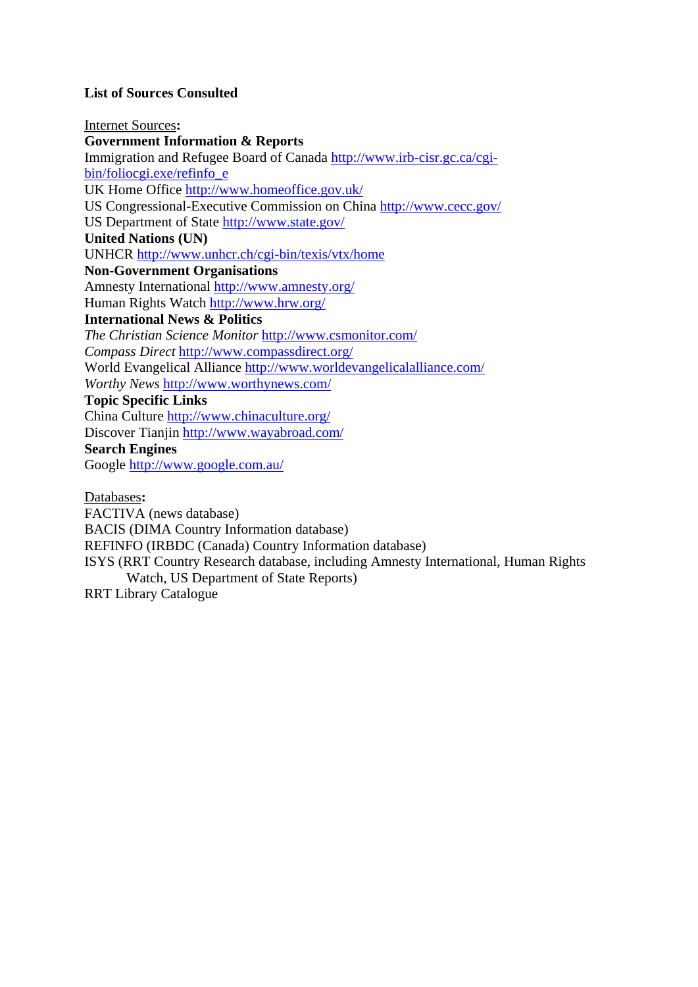# **List of Sources Consulted**

Internet Sources**: Government Information & Reports**  Immigration and Refugee Board of Canada [http://www.irb-cisr.gc.ca/cgi](http://www.irb-cisr.gc.ca/cgi-bin/foliocgi.exe/refinfo_e)[bin/foliocgi.exe/refinfo\\_e](http://www.irb-cisr.gc.ca/cgi-bin/foliocgi.exe/refinfo_e) UK Home Office<http://www.homeoffice.gov.uk/> US Congressional-Executive Commission on China<http://www.cecc.gov/> US Department of State<http://www.state.gov/> **United Nations (UN)**  UNHCR <http://www.unhcr.ch/cgi-bin/texis/vtx/home> **Non-Government Organisations**  Amnesty International <http://www.amnesty.org/> Human Rights Watch <http://www.hrw.org/> **International News & Politics**  *The Christian Science Monitor* <http://www.csmonitor.com/> *Compass Direct* <http://www.compassdirect.org/> World Evangelical Alliance<http://www.worldevangelicalalliance.com/> *Worthy News* <http://www.worthynews.com/> **Topic Specific Links**  China Culture <http://www.chinaculture.org/> Discover Tianjin<http://www.wayabroad.com/> **Search Engines**  Google<http://www.google.com.au/>

Databases**:** 

FACTIVA (news database)

BACIS (DIMA Country Information database)

REFINFO (IRBDC (Canada) Country Information database)

ISYS (RRT Country Research database, including Amnesty International, Human Rights Watch, US Department of State Reports)

RRT Library Catalogue